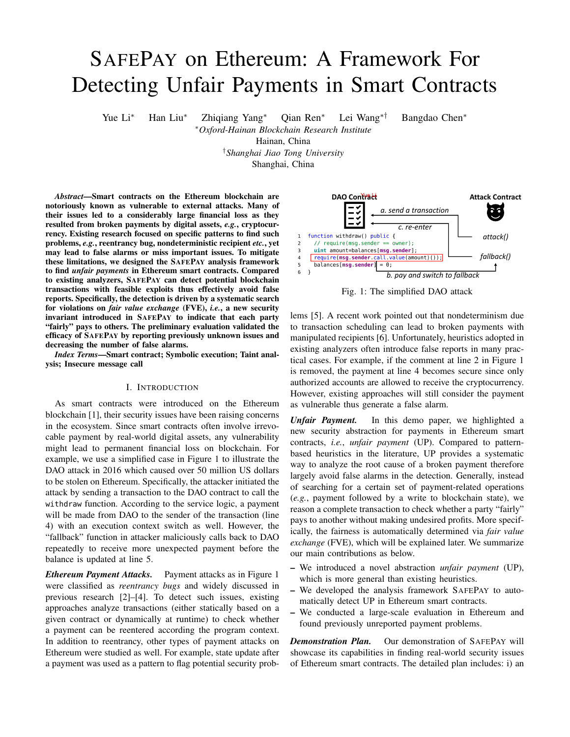# SAFEPAY on Ethereum: A Framework For Detecting Unfair Payments in Smart Contracts

Yue Li<sup>∗</sup> Han Liu<sup>∗</sup> Zhiqiang Yang<sup>∗</sup> Qian Ren<sup>∗</sup> Lei Wang∗† Bangdao Chen<sup>∗</sup>

<sup>∗</sup>*Oxford-Hainan Blockchain Research Institute*

Hainan, China

†*Shanghai Jiao Tong University*

Shanghai, China

*Abstract*—Smart contracts on the Ethereum blockchain are notoriously known as vulnerable to external attacks. Many of their issues led to a considerably large financial loss as they resulted from broken payments by digital assets, *e.g.*, cryptocurrency. Existing research focused on specific patterns to find such problems, *e.g.*, reentrancy bug, nondeterministic recipient *etc.*, yet may lead to false alarms or miss important issues. To mitigate these limitations, we designed the SAFEPAY analysis framework to find *unfair payments* in Ethereum smart contracts. Compared to existing analyzers, SAFEPAY can detect potential blockchain transactions with feasible exploits thus effectively avoid false reports. Specifically, the detection is driven by a systematic search for violations on *fair value exchange* (FVE), *i.e.*, a new security invariant introduced in SAFEPAY to indicate that each party "fairly" pays to others. The preliminary evaluation validated the efficacy of SAFEPAY by reporting previously unknown issues and decreasing the number of false alarms.

*Index Terms*—Smart contract; Symbolic execution; Taint analysis; Insecure message call

## I. INTRODUCTION

As smart contracts were introduced on the Ethereum blockchain [1], their security issues have been raising concerns in the ecosystem. Since smart contracts often involve irrevocable payment by real-world digital assets, any vulnerability might lead to permanent financial loss on blockchain. For example, we use a simplified case in Figure 1 to illustrate the DAO attack in 2016 which caused over 50 million US dollars to be stolen on Ethereum. Specifically, the attacker initiated the attack by sending a transaction to the DAO contract to call the withdraw function. According to the service logic, a payment will be made from DAO to the sender of the transaction (line 4) with an execution context switch as well. However, the "fallback" function in attacker maliciously calls back to DAO repeatedly to receive more unexpected payment before the balance is updated at line 5.

*Ethereum Payment Attacks.* Payment attacks as in Figure 1 were classified as *reentrancy bugs* and widely discussed in previous research [2]–[4]. To detect such issues, existing approaches analyze transactions (either statically based on a given contract or dynamically at runtime) to check whether a payment can be reentered according the program context. In addition to reentrancy, other types of payment attacks on Ethereum were studied as well. For example, state update after a payment was used as a pattern to flag potential security prob-



Fig. 1: The simplified DAO attack

lems [5]. A recent work pointed out that nondeterminism due to transaction scheduling can lead to broken payments with manipulated recipients [6]. Unfortunately, heuristics adopted in existing analyzers often introduce false reports in many practical cases. For example, if the comment at line 2 in Figure 1 is removed, the payment at line 4 becomes secure since only authorized accounts are allowed to receive the cryptocurrency. However, existing approaches will still consider the payment as vulnerable thus generate a false alarm.

*Unfair Payment.* In this demo paper, we highlighted a new security abstraction for payments in Ethereum smart contracts, *i.e.*, *unfair payment* (UP). Compared to patternbased heuristics in the literature, UP provides a systematic way to analyze the root cause of a broken payment therefore largely avoid false alarms in the detection. Generally, instead of searching for a certain set of payment-related operations (*e.g.*, payment followed by a write to blockchain state), we reason a complete transaction to check whether a party "fairly" pays to another without making undesired profits. More specifically, the fairness is automatically determined via *fair value exchange* (FVE), which will be explained later. We summarize our main contributions as below.

- We introduced a novel abstraction *unfair payment* (UP), which is more general than existing heuristics.
- We developed the analysis framework SAFEPAY to automatically detect UP in Ethereum smart contracts.
- We conducted a large-scale evaluation in Ethereum and found previously unreported payment problems.

*Demonstration Plan.* Our demonstration of SAFEPAY will showcase its capabilities in finding real-world security issues of Ethereum smart contracts. The detailed plan includes: i) an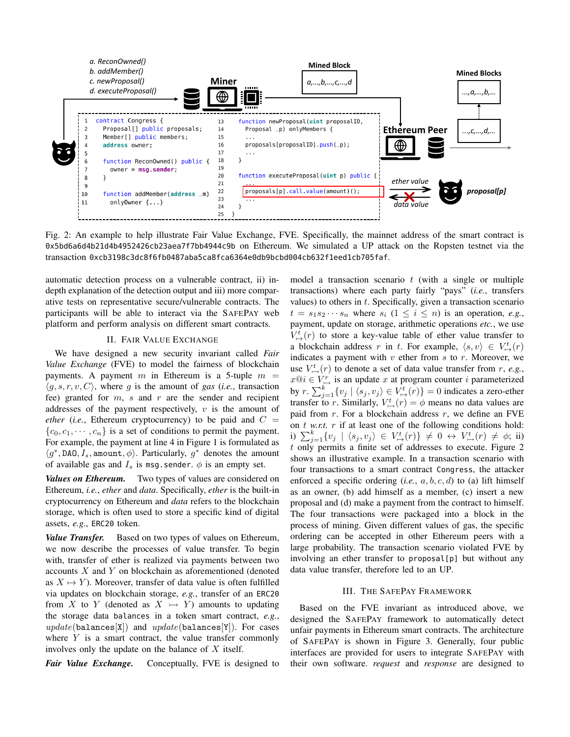

Fig. 2: An example to help illustrate Fair Value Exchange, FVE. Specifically, the mainnet address of the smart contract is 0x5bd6a6d4b21d4b4952426cb23aea7f7bb4944c9b on Ethereum. We simulated a UP attack on the Ropsten testnet via the transaction 0xcb3198c3dc8f6fb0487aba5ca8fca6364e0db9bcbd004cb632f1eed1cb705faf.

automatic detection process on a vulnerable contract, ii) indepth explanation of the detection output and iii) more comparative tests on representative secure/vulnerable contracts. The participants will be able to interact via the SAFEPAY web platform and perform analysis on different smart contracts.

## II. FAIR VALUE EXCHANGE

We have designed a new security invariant called *Fair Value Exchange* (FVE) to model the fairness of blockchain payments. A payment m in Ethereum is a 5-tuple  $m =$  $\langle g, s, r, v, C \rangle$ , where g is the amount of gas (*i.e.*, transaction fee) granted for  $m$ ,  $s$  and  $r$  are the sender and recipient addresses of the payment respectively,  $v$  is the amount of *ether* (*i.e.*, Ethereum cryptocurrency) to be paid and  $C =$  ${c_0, c_1, \dots, c_n}$  is a set of conditions to permit the payment. For example, the payment at line 4 in Figure 1 is formulated as  $\langle g^*, \text{DAO}, I_s, \text{amount}, \phi \rangle$ . Particularly,  $g^*$  denotes the amount of available gas and  $I_s$  is msg. sender.  $\phi$  is an empty set.

*Values on Ethereum.* Two types of values are considered on Ethereum, *i.e.*, *ether* and *data*. Specifically, *ether* is the built-in cryptocurrency on Ethereum and *data* refers to the blockchain storage, which is often used to store a specific kind of digital assets, *e.g.*, ERC20 token.

*Value Transfer.* Based on two types of values on Ethereum, we now describe the processes of value transfer. To begin with, transfer of ether is realized via payments between two accounts X and Y on blockchain as aforementioned (denoted as  $X \mapsto Y$ ). Moreover, transfer of data value is often fulfilled via updates on blockchain storage, *e.g.*, transfer of an ERC20 from X to Y (denoted as  $X \rightarrow Y$ ) amounts to updating the storage data balances in a token smart contract, *e.g.*,  $update(balances[X])$  and  $update(balances[Y])$ . For cases where  $Y$  is a smart contract, the value transfer commonly involves only the update on the balance of  $X$  itself.

*Fair Value Exchange.* Conceptually, FVE is designed to

model a transaction scenario  $t$  (with a single or multiple transactions) where each party fairly "pays" (*i.e.*, transfers values) to others in  $t$ . Specifically, given a transaction scenario  $t = s_1 s_2 \cdots s_n$  where  $s_i$   $(1 \leq i \leq n)$  is an operation, *e.g.*, payment, update on storage, arithmetic operations *etc.*, we use  $V^t_{\mapsto}(r)$  to store a key-value table of ether value transfer to a blockchain address r in t. For example,  $\langle s, v \rangle \in V^t_{\mapsto}(r)$ indicates a payment with  $v$  ether from  $s$  to  $r$ . Moreover, we use  $V^t_{\rightarrow}(r)$  to denote a set of data value transfer from r, e.g.,  $x@i \in V^r_{\rightarrow}$  is an update x at program counter i parameterized by  $r \cdot \sum_{j=1}^{k} \{v_j \mid \langle s_j, v_j \rangle \in V^t \to (r) \} = 0$  indicates a zero-ether transfer to r. Similarly,  $V^t_{\rightarrow}(r) = \phi$  means no data values are paid from  $r$ . For a blockchain address  $r$ , we define an FVE on t *w.r.t.* r if at least one of the following conditions hold: i)  $\sum_{j=1}^{k} \{v_j \mid \langle s_j, v_j \rangle \in V^t_{\mapsto}(r)\}\neq 0 \leftrightarrow V^t_{\mapsto}(r)\neq \phi;$  ii) t only permits a finite set of addresses to execute. Figure 2 shows an illustrative example. In a transaction scenario with four transactions to a smart contract Congress, the attacker enforced a specific ordering  $(i.e., a, b, c, d)$  to (a) lift himself as an owner, (b) add himself as a member, (c) insert a new proposal and (d) make a payment from the contract to himself. The four transactions were packaged into a block in the process of mining. Given different values of gas, the specific ordering can be accepted in other Ethereum peers with a large probability. The transaction scenario violated FVE by involving an ether transfer to proposal[p] but without any data value transfer, therefore led to an UP.

## III. THE SAFEPAY FRAMEWORK

Based on the FVE invariant as introduced above, we designed the SAFEPAY framework to automatically detect unfair payments in Ethereum smart contracts. The architecture of SAFEPAY is shown in Figure 3. Generally, four public interfaces are provided for users to integrate SAFEPAY with their own software. *request* and *response* are designed to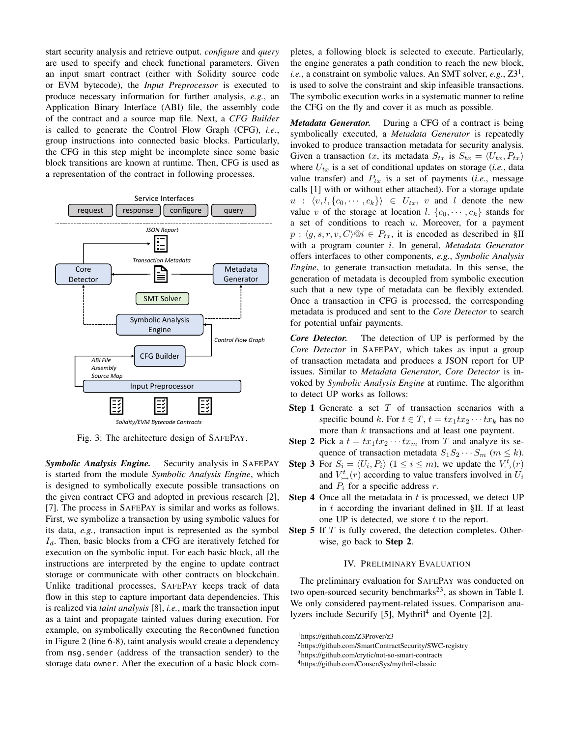start security analysis and retrieve output. *configure* and *query* are used to specify and check functional parameters. Given an input smart contract (either with Solidity source code or EVM bytecode), the *Input Preprocessor* is executed to produce necessary information for further analysis, *e.g.*, an Application Binary Interface (ABI) file, the assembly code of the contract and a source map file. Next, a *CFG Builder* is called to generate the Control Flow Graph (CFG), *i.e.*, group instructions into connected basic blocks. Particularly, the CFG in this step might be incomplete since some basic block transitions are known at runtime. Then, CFG is used as a representation of the contract in following processes.



Fig. 3: The architecture design of SAFEPAY.

*Symbolic Analysis Engine.* Security analysis in SAFEPAY is started from the module *Symbolic Analysis Engine*, which is designed to symbolically execute possible transactions on the given contract CFG and adopted in previous research [2], [7]. The process in SAFEPAY is similar and works as follows. First, we symbolize a transaction by using symbolic values for its data, *e.g.*, transaction input is represented as the symbol  $I_d$ . Then, basic blocks from a CFG are iteratively fetched for execution on the symbolic input. For each basic block, all the instructions are interpreted by the engine to update contract storage or communicate with other contracts on blockchain. Unlike traditional processes, SAFEPAY keeps track of data flow in this step to capture important data dependencies. This is realized via *taint analysis* [8], *i.e.*, mark the transaction input as a taint and propagate tainted values during execution. For example, on symbolically executing the ReconOwned function in Figure 2 (line 6-8), taint analysis would create a dependency from msg.sender (address of the transaction sender) to the storage data owner. After the execution of a basic block completes, a following block is selected to execute. Particularly, the engine generates a path condition to reach the new block, *i.e.*, a constraint on symbolic values. An SMT solver,  $e.g., Z3<sup>1</sup>,$ is used to solve the constraint and skip infeasible transactions. The symbolic execution works in a systematic manner to refine the CFG on the fly and cover it as much as possible.

*Metadata Generator.* During a CFG of a contract is being symbolically executed, a *Metadata Generator* is repeatedly invoked to produce transaction metadata for security analysis. Given a transaction tx, its metadata  $S_{tx}$  is  $S_{tx} = \langle U_{tx}, P_{tx} \rangle$ where  $U_{tx}$  is a set of conditional updates on storage (*i.e.*, data value transfer) and  $P_{tx}$  is a set of payments (*i.e.*, message calls [1] with or without ether attached). For a storage update  $u : \langle v, l, \{c_0, \dots, c_k\}\rangle \in U_{tx}, v$  and l denote the new value v of the storage at location l.  $\{c_0, \dots, c_k\}$  stands for a set of conditions to reach  $u$ . Moreover, for a payment  $p: \langle g, s, r, v, C \rangle \mathbb{Q}$   $i \in P_{tx}$ , it is encoded as described in §II with a program counter i. In general, *Metadata Generator* offers interfaces to other components, *e.g.*, *Symbolic Analysis Engine*, to generate transaction metadata. In this sense, the generation of metadata is decoupled from symbolic execution such that a new type of metadata can be flexibly extended. Once a transaction in CFG is processed, the corresponding metadata is produced and sent to the *Core Detector* to search for potential unfair payments.

*Core Detector.* The detection of UP is performed by the *Core Detector* in SAFEPAY, which takes as input a group of transaction metadata and produces a JSON report for UP issues. Similar to *Metadata Generator*, *Core Detector* is invoked by *Symbolic Analysis Engine* at runtime. The algorithm to detect UP works as follows:

- **Step 1** Generate a set  $T$  of transaction scenarios with a specific bound k. For  $t \in T$ ,  $t = tx_1tx_2 \cdots tx_k$  has no more than  $k$  transactions and at least one payment.
- **Step 2** Pick a  $t = tx_1tx_2 \cdots tx_m$  from T and analyze its sequence of transaction metadata  $S_1S_2 \cdots S_m$  ( $m \leq k$ ).
- **Step 3** For  $S_i = \langle U_i, P_i \rangle$   $(1 \le i \le m)$ , we update the  $V^t_{\mapsto}(r)$ and  $V^t_{\rightarrow}$  (r) according to value transfers involved in  $U_i$ and  $P_i$  for a specific address r.
- **Step 4** Once all the metadata in  $t$  is processed, we detect UP in  $t$  according the invariant defined in §II. If at least one UP is detected, we store  $t$  to the report.
- Step 5 If T is fully covered, the detection completes. Otherwise, go back to Step 2.

## IV. PRELIMINARY EVALUATION

The preliminary evaluation for SAFEPAY was conducted on two open-sourced security benchmarks<sup>23</sup>, as shown in Table I. We only considered payment-related issues. Comparison analyzers include Securify [5], Mythril<sup>4</sup> and Oyente [2].

<sup>&</sup>lt;sup>1</sup>https://github.com/Z3Prover/z3

<sup>2</sup>https://github.com/SmartContractSecurity/SWC-registry

<sup>3</sup>https://github.com/crytic/not-so-smart-contracts

<sup>4</sup>https://github.com/ConsenSys/mythril-classic